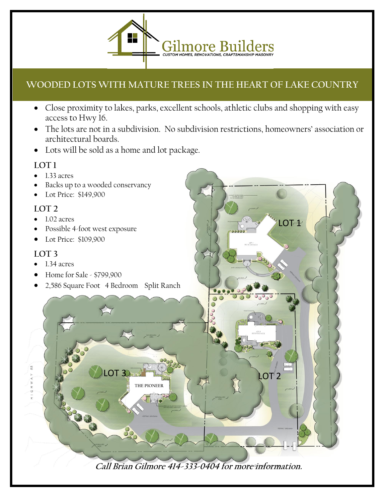

## **WOODED LOTS WITH MATURE TREES IN THE HEART OF LAKE COUNTRY**

- Close proximity to lakes, parks, excellent schools, athletic clubs and shopping with easy access to Hwy 16.
- The lots are not in a subdivision. No subdivision restrictions, homeowners' association or architectural boards.

 $LOT$ 

• Lots will be sold as a home and lot package.

## **LOT 1**

- 1.33 acres
- Backs up to a wooded conservancy
- Lot Price: \$149,900

## **LOT 2**

- 1.02 acres
- Possible 4-foot west exposure
- Lot Price: \$109,900

## **LOT 3**

- 1.34 acres
- Home for Sale \$799,900
- 2,586 Square Foot 4 Bedroom Split Ranch

**Call Brian Gilmore 414-333-0404 for more information.**

LOT 3  $\frac{1}{2}$   $\frac{1}{2}$   $\frac{1}{2}$   $\frac{1}{2}$   $\frac{1}{2}$   $\frac{1}{2}$ 

**THE PIONEER**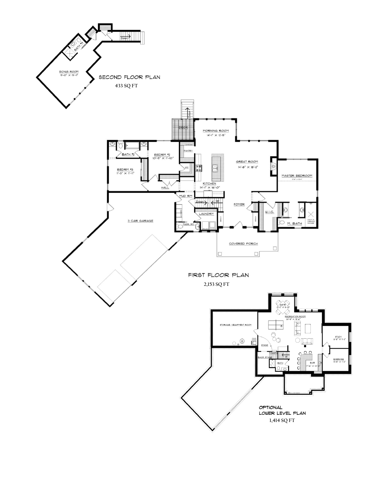